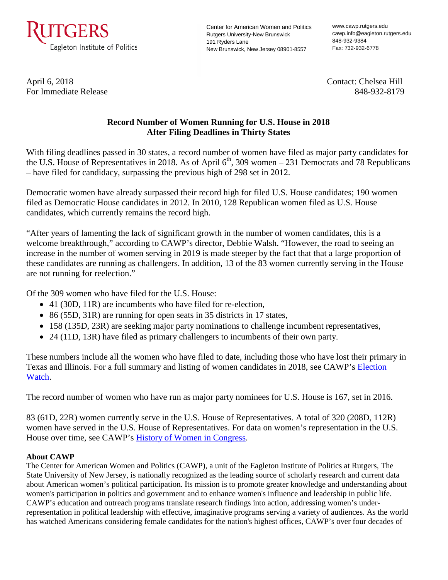

Center for American Women and Politics Rutgers University-New Brunswick 191 Ryders Lane New Brunswick, New Jersey 08901-8557

www.cawp.rutgers.edu cawp.info@eagleton.rutgers.edu 848-932-9384 Fax: 732-932-6778

April 6, 2018 Contact: Chelsea Hill For Immediate Release 848-932-8179

## **Record Number of Women Running for U.S. House in 2018 After Filing Deadlines in Thirty States**

With filing deadlines passed in 30 states, a record number of women have filed as major party candidates for the U.S. House of Representatives in 2018. As of April  $6<sup>th</sup>$ , 309 women – 231 Democrats and 78 Republicans – have filed for candidacy, surpassing the previous high of 298 set in 2012.

Democratic women have already surpassed their record high for filed U.S. House candidates; 190 women filed as Democratic House candidates in 2012. In 2010, 128 Republican women filed as U.S. House candidates, which currently remains the record high.

"After years of lamenting the lack of significant growth in the number of women candidates, this is a welcome breakthrough," according to CAWP's director, Debbie Walsh. "However, the road to seeing an increase in the number of women serving in 2019 is made steeper by the fact that that a large proportion of these candidates are running as challengers. In addition, 13 of the 83 women currently serving in the House are not running for reelection."

Of the 309 women who have filed for the U.S. House:

- 41 (30D, 11R) are incumbents who have filed for re-election,
- 86 (55D, 31R) are running for open seats in 35 districts in 17 states,
- 158 (135D, 23R) are seeking major party nominations to challenge incumbent representatives,
- 24 (11D, 13R) have filed as primary challengers to incumbents of their own party.

These numbers include all the women who have filed to date, including those who have lost their primary in Texas and Illinois. For a full summary and listing of women candidates in 2018, see CAWP's [Election](http://cawp.rutgers.edu/potential-candidate-summary-2018)  [Watch.](http://cawp.rutgers.edu/potential-candidate-summary-2018)

The record number of women who have run as major party nominees for U.S. House is 167, set in 2016.

83 (61D, 22R) women currently serve in the U.S. House of Representatives. A total of 320 (208D, 112R) women have served in the U.S. House of Representatives. For data on women's representation in the U.S. House over time, see CAWP's [History of Women in Congress.](http://cawp.rutgers.edu/history-women-us-congress)

## **About CAWP**

The Center for American Women and Politics (CAWP), a unit of the Eagleton Institute of Politics at Rutgers, The State University of New Jersey, is nationally recognized as the leading source of scholarly research and current data about American women's political participation. Its mission is to promote greater knowledge and understanding about women's participation in politics and government and to enhance women's influence and leadership in public life. CAWP's education and outreach programs translate research findings into action, addressing women's underrepresentation in political leadership with effective, imaginative programs serving a variety of audiences. As the world has watched Americans considering female candidates for the nation's highest offices, CAWP's over four decades of